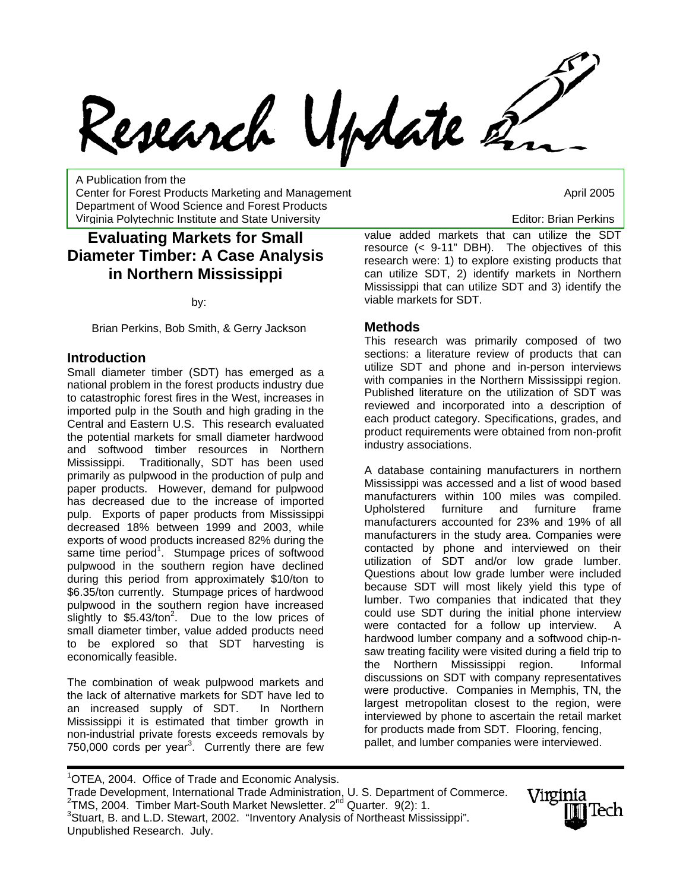Research Update 22

A Publication from the Center for Forest Products Marketing and Management April 2005 Department of Wood Science and Forest Products Virginia Polytechnic Institute and State University **Editor: Brian Perkins** Editor: Brian Perkins

# **Evaluating Markets for Small Diameter Timber: A Case Analysis in Northern Mississippi**

by:

Brian Perkins, Bob Smith, & Gerry Jackson

#### **Introduction**

Small diameter timber (SDT) has emerged as a national problem in the forest products industry due to catastrophic forest fires in the West, increases in imported pulp in the South and high grading in the Central and Eastern U.S. This research evaluated the potential markets for small diameter hardwood and softwood timber resources in Northern Mississippi. Traditionally, SDT has been used primarily as pulpwood in the production of pulp and paper products. However, demand for pulpwood has decreased due to the increase of imported pulp. Exports of paper products from Mississippi decreased 18% between 1999 and 2003, while exports of wood products increased 82% during the same time period<sup>1</sup>. Stumpage prices of softwood pulpwood in the southern region have declined during this period from approximately \$10/ton to \$6.35/ton currently. Stumpage prices of hardwood pulpwood in the southern region have increased slightly to  $$5.43/t$ on<sup>2</sup>. Due to the low prices of small diameter timber, value added products need to be explored so that SDT harvesting is economically feasible.

The combination of weak pulpwood markets and the lack of alternative markets for SDT have led to an increased supply of SDT. In Northern Mississippi it is estimated that timber growth in non-industrial private forests exceeds removals by 750,000 cords per year<sup>3</sup>. Currently there are few

value added markets that can utilize the SDT resource (< 9-11" DBH). The objectives of this research were: 1) to explore existing products that can utilize SDT, 2) identify markets in Northern Mississippi that can utilize SDT and 3) identify the viable markets for SDT.

### **Methods**

This research was primarily composed of two sections: a literature review of products that can utilize SDT and phone and in-person interviews with companies in the Northern Mississippi region. Published literature on the utilization of SDT was reviewed and incorporated into a description of each product category. Specifications, grades, and product requirements were obtained from non-profit industry associations.

A database containing manufacturers in northern Mississippi was accessed and a list of wood based manufacturers within 100 miles was compiled. Upholstered furniture and furniture frame manufacturers accounted for 23% and 19% of all manufacturers in the study area. Companies were contacted by phone and interviewed on their utilization of SDT and/or low grade lumber. Questions about low grade lumber were included because SDT will most likely yield this type of lumber. Two companies that indicated that they could use SDT during the initial phone interview were contacted for a follow up interview. A hardwood lumber company and a softwood chip-nsaw treating facility were visited during a field trip to the Northern Mississippi region. Informal discussions on SDT with company representatives were productive. Companies in Memphis, TN, the largest metropolitan closest to the region, were interviewed by phone to ascertain the retail market for products made from SDT. Flooring, fencing, pallet, and lumber companies were interviewed.

<sup>1</sup>OTEA, 2004. Office of Trade and Economic Analysis. Trade Development, International Trade Administration, U. S. Department of Commerce. 2  $27MS$ , 2004. Timber Mart-South Market Newsletter.  $2<sup>nd</sup>$  Quarter. 9(2): 1. <sup>3</sup>Stuart, B. and L.D. Stewart, 2002. "Inventory Analysis of Northeast Mississippi". Unpublished Research. July.